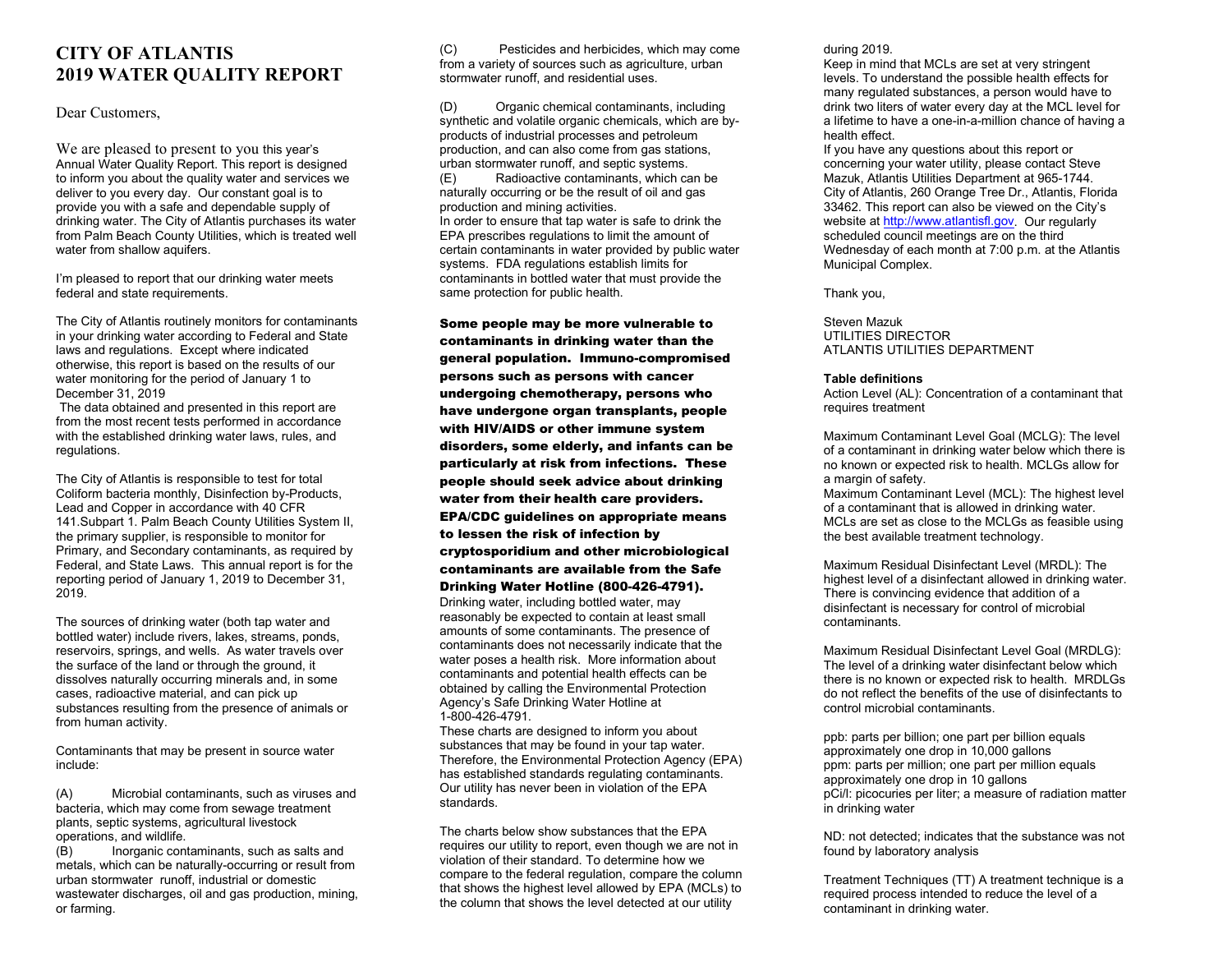# **CITY OF ATLANTIS 2019 WATER QUALITY REPORT**

#### Dear Customers.

We are pleased to present to you this year's Annual Water Quality Report. This report is designed to inform you about the quality water and services we deliver to you every day. Our constant goal is to provide you with a safe and dependable supply of drinking water. The City of Atlantis purchases its water from Palm Beach County Utilities, which is treated well water from shallow aquifers.

I'm pleased to report that our drinking water meets federal and state requirements.

The City of Atlantis routinely monitors for contaminants in your drinking water according to Federal and State laws and regulations. Except where indicated otherwise, this report is based on the results of our water monitoring for the period of January 1 to December 31, 2019

The data obtained and presented in this report are from the most recent tests performed in accordance with the established drinking water laws, rules, and regulations.

The City of Atlantis is responsible to test for total Coliform bacteria monthly, Disinfection by-Products, Lead and Copper in accordance with 40 CFR 141.Subpart 1. Palm Beach County Utilities System II, the primary supplier, is responsible to monitor for Primary, and Secondary contaminants, as required by Federal, and State Laws. This annual report is for the reporting period of January 1, 2019 to December 31, 2019.

The sources of drinking water (both tap water and bottled water) include rivers, lakes, streams, ponds, reservoirs, springs, and wells. As water travels over the surface of the land or through the ground, it dissolves naturally occurring minerals and, in some cases, radioactive material, and can pick up substances resulting from the presence of animals or from human activity.

Contaminants that may be present in source water include:

(A) Microbial contaminants, such as viruses and bacteria, which may come from sewage treatment plants, septic systems, agricultural livestock operations, and wildlife.<br>(B) lnorganic cont

Inorganic contaminants, such as salts and metals, which can be naturally-occurring or result from urban stormwater runoff, industrial or domestic wastewater discharges, oil and gas production, mining, or farming.

(C) Pesticides and herbicides, which may come from a variety of sources such as agriculture, urban stormwater runoff, and residential uses.

(D) Organic chemical contaminants, including synthetic and volatile organic chemicals, which are byproducts of industrial processes and petroleum production, and can also come from gas stations, urban stormwater runoff, and septic systems.

(E) Radioactive contaminants, which can be naturally occurring or be the result of oil and gas production and mining activities. In order to ensure that tap water is safe to drink the EPA prescribes regulations to limit the amount of certain contaminants in water provided by public water systems. FDA regulations establish limits for contaminants in bottled water that must provide the same protection for public health.

Some people may be more vulnerable to contaminants in drinking water than the general population. Immuno-compromised persons such as persons with cancer undergoing chemotherapy, persons who have undergone organ transplants, people with HIV/AIDS or other immune system disorders, some elderly, and infants can be particularly at risk from infections. These people should seek advice about drinking water from their health care providers. EPA/CDC guidelines on appropriate means to lessen the risk of infection by cryptosporidium and other microbiological contaminants are available from the Safe

#### Drinking Water Hotline (800-426-4791).

Drinking water, including bottled water, may reasonably be expected to contain at least small amounts of some contaminants. The presence of contaminants does not necessarily indicate that the water poses a health risk. More information about contaminants and potential health effects can be obtained by calling the Environmental Protection Agency's Safe Drinking Water Hotline at 1-800-426-4791.

These charts are designed to inform you about substances that may be found in your tap water. Therefore, the Environmental Protection Agency (EPA) has established standards regulating contaminants. Our utility has never been in violation of the EPA standards.

The charts below show substances that the EPA requires our utility to report, even though we are not in violation of their standard. To determine how we compare to the federal regulation, compare the column that shows the highest level allowed by EPA (MCLs) to the column that shows the level detected at our utility

during 2019.

Keep in mind that MCLs are set at very stringent levels. To understand the possible health effects for many regulated substances, a person would have to drink two liters of water every day at the MCL level for a lifetime to have a one-in-a-million chance of having a health effect.

If you have any questions about this report or concerning your water utility, please contact Steve Mazuk, Atlantis Utilities Department at 965-1744. City of Atlantis, 260 Orange Tree Dr., Atlantis, Florida 33462. This report can also be viewed on the City's website a[t http://www.atlantisfl.gov.](http://www.atlantisfl.gov/) Our regularly scheduled council meetings are on the third Wednesday of each month at 7:00 p.m. at the Atlantis Municipal Complex.

Thank you,

Steven Mazuk UTILITIES DIRECTOR ATI ANTIS UTILITIES DEPARTMENT

#### **Table definitions**

Action Level (AL): Concentration of a contaminant that requires treatment

Maximum Contaminant Level Goal (MCLG): The level of a contaminant in drinking water below which there is no known or expected risk to health. MCLGs allow for a margin of safety.

Maximum Contaminant Level (MCL): The highest level of a contaminant that is allowed in drinking water. MCLs are set as close to the MCLGs as feasible using the best available treatment technology.

Maximum Residual Disinfectant Level (MRDL): The highest level of a disinfectant allowed in drinking water. There is convincing evidence that addition of a disinfectant is necessary for control of microbial contaminants.

Maximum Residual Disinfectant Level Goal (MRDLG): The level of a drinking water disinfectant below which there is no known or expected risk to health. MRDLGs do not reflect the benefits of the use of disinfectants to control microbial contaminants.

ppb: parts per billion; one part per billion equals approximately one drop in 10,000 gallons ppm: parts per million; one part per million equals approximately one drop in 10 gallons pCi/l: picocuries per liter; a measure of radiation matter in drinking water

ND: not detected; indicates that the substance was not found by laboratory analysis

Treatment Techniques (TT) A treatment technique is a required process intended to reduce the level of a contaminant in drinking water.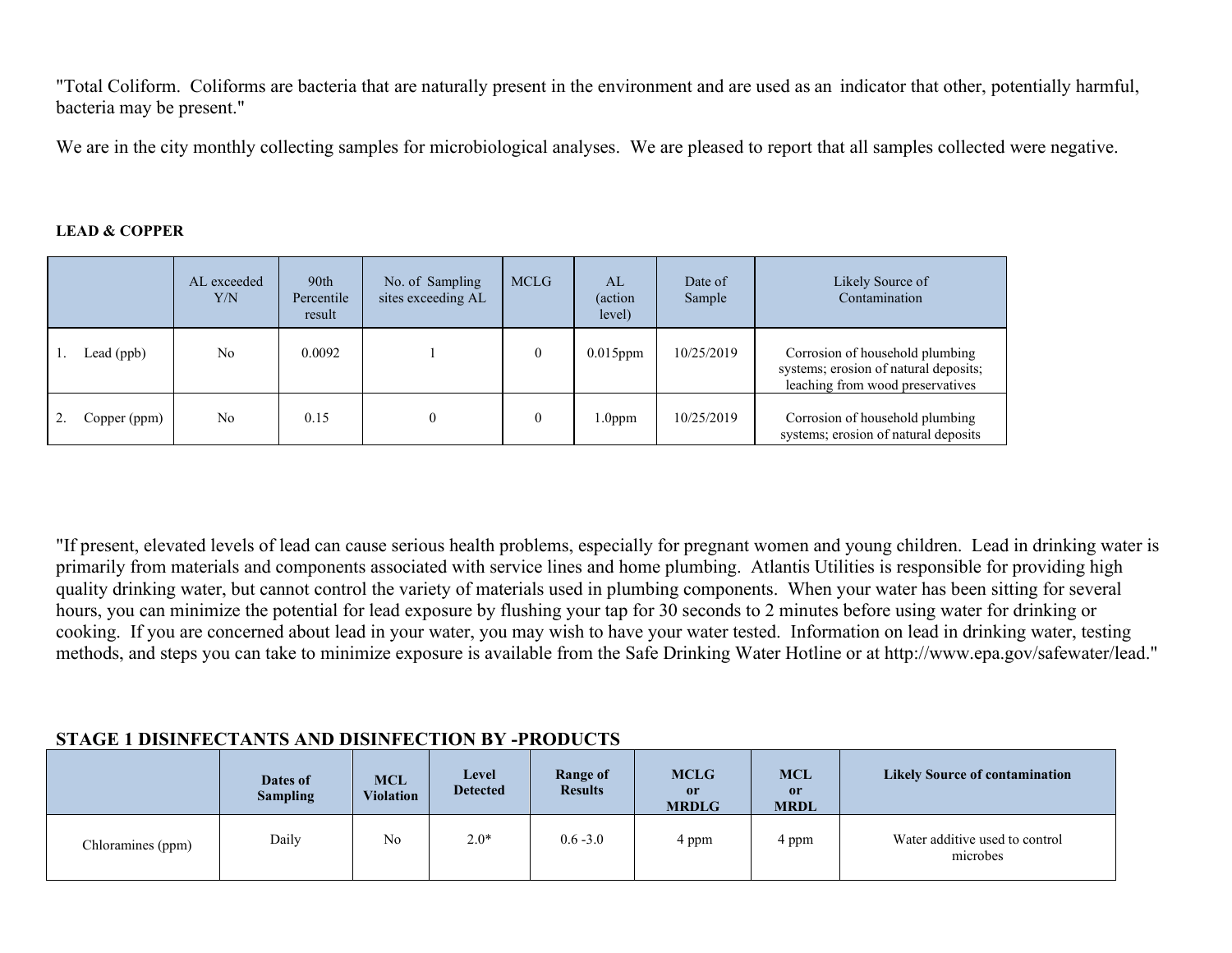"Total Coliform. Coliforms are bacteria that are naturally present in the environment and are used as an indicator that other, potentially harmful, bacteria may be present."

We are in the city monthly collecting samples for microbiological analyses. We are pleased to report that all samples collected were negative.

#### **LEAD & COPPER**

|              | AL exceeded<br>Y/N | 90th<br>Percentile<br>result | No. of Sampling<br>sites exceeding AL | <b>MCLG</b> | AL<br>(action)<br>level) | Date of<br>Sample | Likely Source of<br>Contamination                                                                            |
|--------------|--------------------|------------------------------|---------------------------------------|-------------|--------------------------|-------------------|--------------------------------------------------------------------------------------------------------------|
| Lead (ppb)   | No                 | 0.0092                       |                                       | 0           | $0.015$ ppm              | 10/25/2019        | Corrosion of household plumbing<br>systems; erosion of natural deposits;<br>leaching from wood preservatives |
| Copper (ppm) | No                 | 0.15                         | 0                                     | 0           | 1.0 <sub>ppm</sub>       | 10/25/2019        | Corrosion of household plumbing<br>systems; erosion of natural deposits                                      |

"If present, elevated levels of lead can cause serious health problems, especially for pregnant women and young children. Lead in drinking water is primarily from materials and components associated with service lines and home plumbing. Atlantis Utilities is responsible for providing high quality drinking water, but cannot control the variety of materials used in plumbing components. When your water has been sitting for several hours, you can minimize the potential for lead exposure by flushing your tap for 30 seconds to 2 minutes before using water for drinking or cooking. If you are concerned about lead in your water, you may wish to have your water tested. Information on lead in drinking water, testing methods, and steps you can take to minimize exposure is available from the Safe Drinking Water Hotline or at http://www.epa.gov/safewater/lead."

### **STAGE 1 DISINFECTANTS AND DISINFECTION BY -PRODUCTS**

|                   | Dates of<br><b>Sampling</b> | <b>MCL</b><br><b>Violation</b> | Level<br><b>Detected</b> | Range of<br><b>Results</b> | <b>MCLG</b><br><sub>or</sub><br><b>MRDLG</b> | <b>MCL</b><br>or<br><b>MRDL</b> | <b>Likely Source of contamination</b>      |
|-------------------|-----------------------------|--------------------------------|--------------------------|----------------------------|----------------------------------------------|---------------------------------|--------------------------------------------|
| Chloramines (ppm) | Daily                       | No                             | $2.0*$                   | $0.6 - 3.0$                | 4 ppm                                        | 4 ppm                           | Water additive used to control<br>microbes |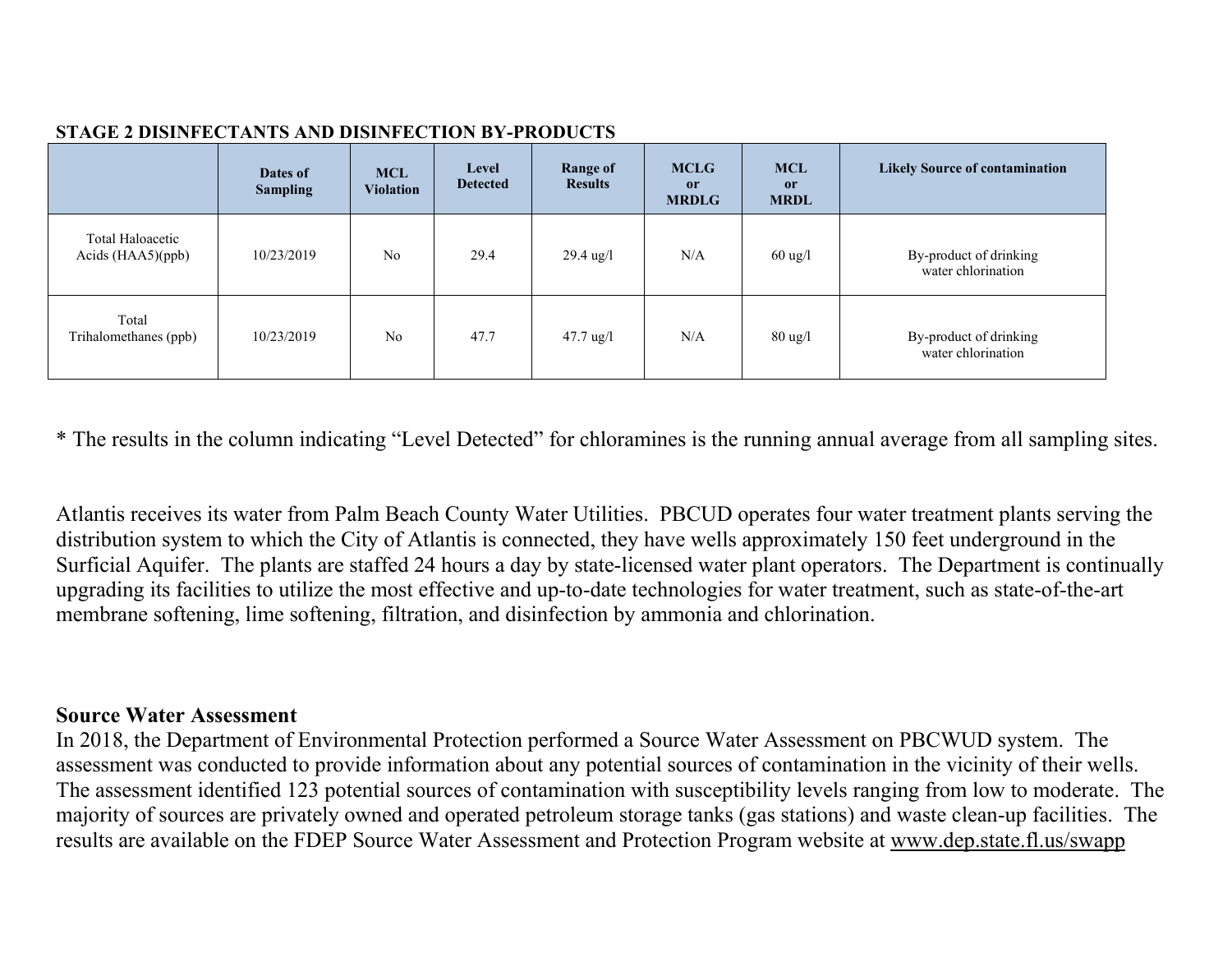### **STAGE 2 DISINFECTANTS AND DISINFECTION BY-PRODUCTS**

|                                         | Dates of<br><b>Sampling</b> | <b>MCL</b><br><b>Violation</b> | Level<br><b>Detected</b> | <b>Range of</b><br><b>Results</b> | <b>MCLG</b><br><sub>or</sub><br><b>MRDLG</b> | <b>MCL</b><br>or<br><b>MRDL</b> | <b>Likely Source of contamination</b>        |
|-----------------------------------------|-----------------------------|--------------------------------|--------------------------|-----------------------------------|----------------------------------------------|---------------------------------|----------------------------------------------|
| Total Haloacetic<br>Acids $(HAA5)(ppb)$ | 10/23/2019                  | N <sub>o</sub>                 | 29.4                     | $29.4 \text{ ug}/1$               | N/A                                          | $60$ ug/l                       | By-product of drinking<br>water chlorination |
| Total<br>Trihalomethanes (ppb)          | 10/23/2019                  | N <sub>o</sub>                 | 47.7                     | $47.7 \text{ ug}/l$               | N/A                                          | $80 \text{ ug}/l$               | By-product of drinking<br>water chlorination |

\* The results in the column indicating "Level Detected" for chloramines is the running annual average from all sampling sites.

Atlantis receives its water from Palm Beach County Water Utilities. PBCUD operates four water treatment plants serving the distribution system to which the City of Atlantis is connected, they have wells approximately 150 feet underground in the Surficial Aquifer. The plants are staffed 24 hours a day by state-licensed water plant operators. The Department is continually upgrading its facilities to utilize the most effective and up-to-date technologies for water treatment, such as state-of-the-art membrane softening, lime softening, filtration, and disinfection by ammonia and chlorination.

# **Source Water Assessment**

In 2018, the Department of Environmental Protection performed a Source Water Assessment on PBCWUD system. The assessment was conducted to provide information about any potential sources of contamination in the vicinity of their wells. The assessment identified 123 potential sources of contamination with susceptibility levels ranging from low to moderate. The majority of sources are privately owned and operated petroleum storage tanks (gas stations) and waste clean-up facilities. The results are available on the FDEP Source Water Assessment and Protection Program website at www.dep.state.fl.us/swapp